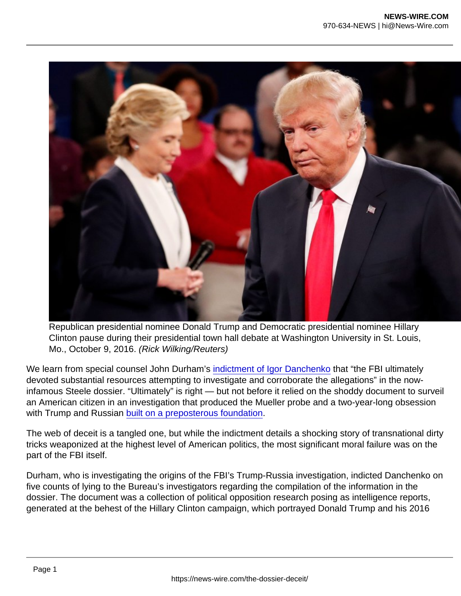Republican presidential nominee Donald Trump and Democratic presidential nominee Hillary Clinton pause during their presidential town hall debate at Washington University in St. Louis, Mo., October 9, 2016. (Rick Wilking/Reuters)

We learn from special counsel John Durham's [indictment of Igor Danchenko](https://www.nationalreview.com/news/main-steele-dossier-researcher-arrested-in-durham-probe/) that "the FBI ultimately devoted substantial resources attempting to investigate and corroborate the allegations" in the nowinfamous Steele dossier. "Ultimately" is right — but not before it relied on the shoddy document to surveil an American citizen in an investigation that produced the Mueller probe and a two-year-long obsession with Trump and Russian [built on a preposterous foundation](https://www.nationalreview.com/2021/11/durham-is-steadily-exposing-the-real-russia-collusion-scandal/).

The web of deceit is a tangled one, but while the indictment details a shocking story of transnational dirty tricks weaponized at the highest level of American politics, the most significant moral failure was on the part of the FBI itself.

Durham, who is investigating the origins of the FBI's Trump-Russia investigation, indicted Danchenko on five counts of lying to the Bureau's investigators regarding the compilation of the information in the dossier. The document was a collection of political opposition research posing as intelligence reports, generated at the behest of the Hillary Clinton campaign, which portrayed Donald Trump and his 2016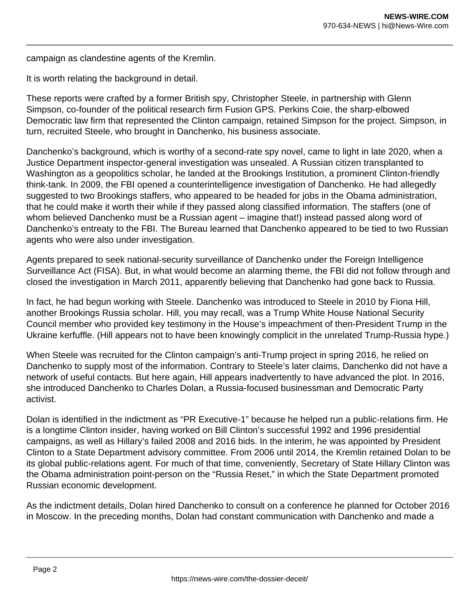campaign as clandestine agents of the Kremlin.

It is worth relating the background in detail.

These reports were crafted by a former British spy, Christopher Steele, in partnership with Glenn Simpson, co-founder of the political research firm Fusion GPS. Perkins Coie, the sharp-elbowed Democratic law firm that represented the Clinton campaign, retained Simpson for the project. Simpson, in turn, recruited Steele, who brought in Danchenko, his business associate.

Danchenko's background, which is worthy of a second-rate spy novel, came to light in late 2020, when a Justice Department inspector-general investigation was unsealed. A Russian citizen transplanted to Washington as a geopolitics scholar, he landed at the Brookings Institution, a prominent Clinton-friendly think-tank. In 2009, the FBI opened a counterintelligence investigation of Danchenko. He had allegedly suggested to two Brookings staffers, who appeared to be headed for jobs in the Obama administration, that he could make it worth their while if they passed along classified information. The staffers (one of whom believed Danchenko must be a Russian agent – imagine that!) instead passed along word of Danchenko's entreaty to the FBI. The Bureau learned that Danchenko appeared to be tied to two Russian agents who were also under investigation.

Agents prepared to seek national-security surveillance of Danchenko under the Foreign Intelligence Surveillance Act (FISA). But, in what would become an alarming theme, the FBI did not follow through and closed the investigation in March 2011, apparently believing that Danchenko had gone back to Russia.

In fact, he had begun working with Steele. Danchenko was introduced to Steele in 2010 by Fiona Hill, another Brookings Russia scholar. Hill, you may recall, was a Trump White House National Security Council member who provided key testimony in the House's impeachment of then-President Trump in the Ukraine kerfuffle. (Hill appears not to have been knowingly complicit in the unrelated Trump-Russia hype.)

When Steele was recruited for the Clinton campaign's anti-Trump project in spring 2016, he relied on Danchenko to supply most of the information. Contrary to Steele's later claims, Danchenko did not have a network of useful contacts. But here again, Hill appears inadvertently to have advanced the plot. In 2016, she introduced Danchenko to Charles Dolan, a Russia-focused businessman and Democratic Party activist.

Dolan is identified in the indictment as "PR Executive-1" because he helped run a public-relations firm. He is a longtime Clinton insider, having worked on Bill Clinton's successful 1992 and 1996 presidential campaigns, as well as Hillary's failed 2008 and 2016 bids. In the interim, he was appointed by President Clinton to a State Department advisory committee. From 2006 until 2014, the Kremlin retained Dolan to be its global public-relations agent. For much of that time, conveniently, Secretary of State Hillary Clinton was the Obama administration point-person on the "Russia Reset," in which the State Department promoted Russian economic development.

As the indictment details, Dolan hired Danchenko to consult on a conference he planned for October 2016 in Moscow. In the preceding months, Dolan had constant communication with Danchenko and made a